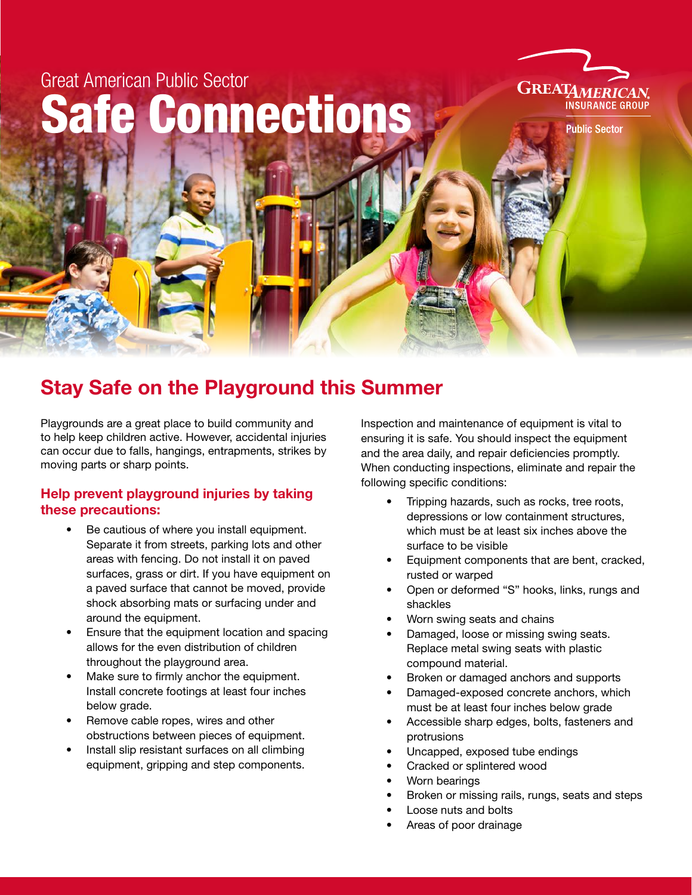# Great American Public Sector Safe Connections



**Public Sector** 

## Stay Safe on the Playground this Summer

Playgrounds are a great place to build community and to help keep children active. However, accidental injuries can occur due to falls, hangings, entrapments, strikes by moving parts or sharp points.

#### Help prevent playground injuries by taking these precautions:

- Be cautious of where you install equipment. Separate it from streets, parking lots and other areas with fencing. Do not install it on paved surfaces, grass or dirt. If you have equipment on a paved surface that cannot be moved, provide shock absorbing mats or surfacing under and around the equipment.
- Ensure that the equipment location and spacing allows for the even distribution of children throughout the playground area.
- Make sure to firmly anchor the equipment. Install concrete footings at least four inches below grade.
- Remove cable ropes, wires and other obstructions between pieces of equipment.
- Install slip resistant surfaces on all climbing equipment, gripping and step components.

Inspection and maintenance of equipment is vital to ensuring it is safe. You should inspect the equipment and the area daily, and repair deficiencies promptly. When conducting inspections, eliminate and repair the following specific conditions:

- Tripping hazards, such as rocks, tree roots, depressions or low containment structures, which must be at least six inches above the surface to be visible
- Equipment components that are bent, cracked, rusted or warped
- Open or deformed "S" hooks, links, rungs and shackles
- Worn swing seats and chains
- Damaged, loose or missing swing seats. Replace metal swing seats with plastic compound material.
- Broken or damaged anchors and supports
- Damaged-exposed concrete anchors, which must be at least four inches below grade
- Accessible sharp edges, bolts, fasteners and protrusions
- Uncapped, exposed tube endings
- Cracked or splintered wood
- Worn bearings
- Broken or missing rails, rungs, seats and steps
- Loose nuts and bolts
- Areas of poor drainage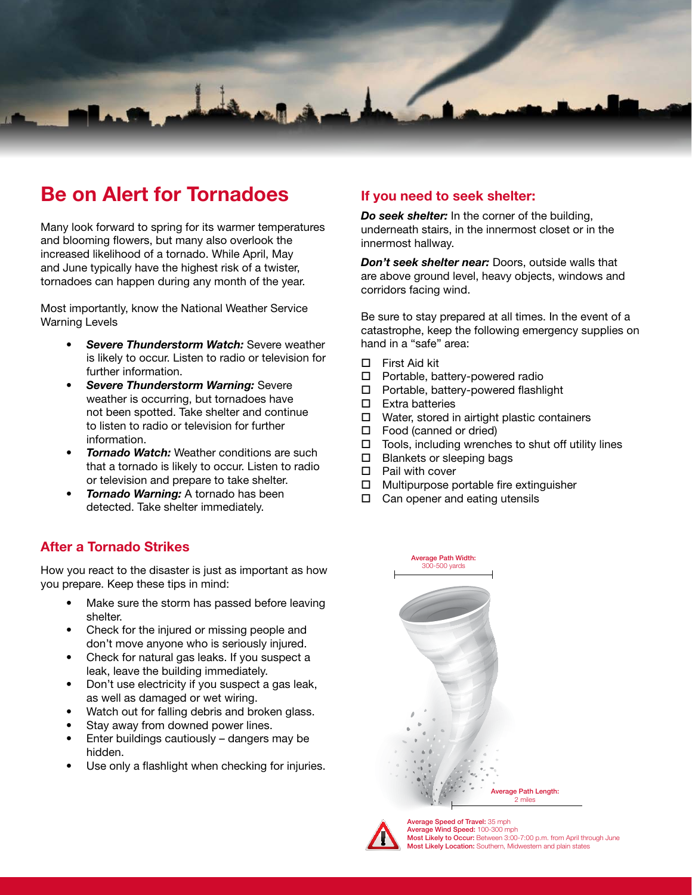

## Be on Alert for Tornadoes **If you need to seek shelter:**

Many look forward to spring for its warmer temperatures and blooming flowers, but many also overlook the increased likelihood of a tornado. While April, May and June typically have the highest risk of a twister, tornadoes can happen during any month of the year.

Most importantly, know the National Weather Service Warning Levels

- *• Severe Thunderstorm Watch:* Severe weather is likely to occur. Listen to radio or television for further information.
- *• Severe Thunderstorm Warning:* Severe weather is occurring, but tornadoes have not been spotted. Take shelter and continue to listen to radio or television for further information.
- *Tornado Watch:* Weather conditions are such that a tornado is likely to occur. Listen to radio or television and prepare to take shelter.
- *• Tornado Warning:* A tornado has been detected. Take shelter immediately.

#### After a Tornado Strikes

How you react to the disaster is just as important as how you prepare. Keep these tips in mind:

- Make sure the storm has passed before leaving shelter.
- Check for the injured or missing people and don't move anyone who is seriously injured.
- Check for natural gas leaks. If you suspect a leak, leave the building immediately.
- Don't use electricity if you suspect a gas leak, as well as damaged or wet wiring.
- Watch out for falling debris and broken glass.
- Stay away from downed power lines.
- Enter buildings cautiously dangers may be hidden.
- Use only a flashlight when checking for injuries.

*Do seek shelter:* In the corner of the building, underneath stairs, in the innermost closet or in the innermost hallway.

*Don't seek shelter near:* Doors, outside walls that are above ground level, heavy objects, windows and corridors facing wind.

Be sure to stay prepared at all times. In the event of a catastrophe, keep the following emergency supplies on hand in a "safe" area:

- $\Box$  First Aid kit
- $\Box$  Portable, battery-powered radio
- $\Box$  Portable, battery-powered flashlight
- $\square$  Extra batteries
- $\square$  Water, stored in airtight plastic containers
- $\Box$  Food (canned or dried)
- $\Box$  Tools, including wrenches to shut off utility lines
- $\square$  Blankets or sleeping bags
- $\Box$  Pail with cover
- $\Box$  Multipurpose portable fire extinguisher
- $\Box$  Can opener and eating utensils





Average Speed of Travel: 35 mph Average Wind Speed: 100-300 mph Most Likely to Occur: Between 3:00-7:00 p.m. from April through June Most Likely Location: Southern, Midwestern and plain states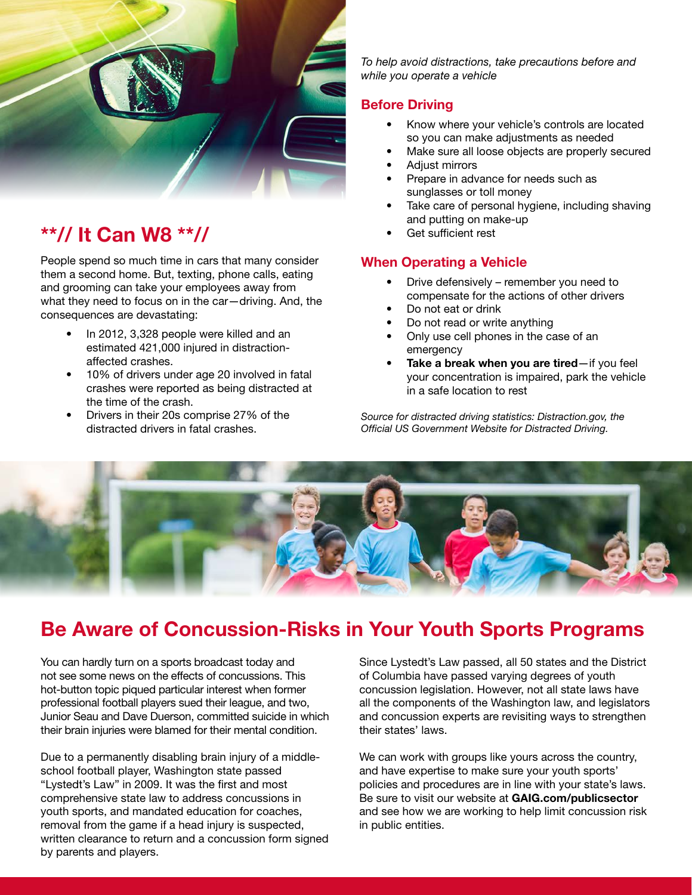

## \*\*// It Can W8 \*\*//

People spend so much time in cars that many consider them a second home. But, texting, phone calls, eating and grooming can take your employees away from what they need to focus on in the car—driving. And, the consequences are devastating:

- In 2012, 3,328 people were killed and an estimated 421,000 injured in distractionaffected crashes.
- 10% of drivers under age 20 involved in fatal crashes were reported as being distracted at the time of the crash.
- Drivers in their 20s comprise 27% of the distracted drivers in fatal crashes.

*To help avoid distractions, take precautions before and while you operate a vehicle*

#### Before Driving

- Know where your vehicle's controls are located so you can make adjustments as needed
- Make sure all loose objects are properly secured
- Adjust mirrors
- Prepare in advance for needs such as sunglasses or toll money
- Take care of personal hygiene, including shaving and putting on make-up
- Get sufficient rest

#### When Operating a Vehicle

- Drive defensively remember you need to compensate for the actions of other drivers
- Do not eat or drink
- Do not read or write anything
- Only use cell phones in the case of an emergency
- Take a break when you are tired—if you feel your concentration is impaired, park the vehicle in a safe location to rest

*Source for distracted driving statistics: Distraction.gov, the Official US Government Website for Distracted Driving.*



## Be Aware of Concussion-Risks in Your Youth Sports Programs

You can hardly turn on a sports broadcast today and not see some news on the effects of concussions. This hot-button topic piqued particular interest when former professional football players sued their league, and two, Junior Seau and Dave Duerson, committed suicide in which their brain injuries were blamed for their mental condition.

Due to a permanently disabling brain injury of a middleschool football player, Washington state passed "Lystedt's Law" in 2009. It was the first and most comprehensive state law to address concussions in youth sports, and mandated education for coaches, removal from the game if a head injury is suspected, written clearance to return and a concussion form signed by parents and players.

Since Lystedt's Law passed, all 50 states and the District of Columbia have passed varying degrees of youth concussion legislation. However, not all state laws have all the components of the Washington law, and legislators and concussion experts are revisiting ways to strengthen their states' laws.

We can work with groups like yours across the country, and have expertise to make sure your youth sports' policies and procedures are in line with your state's laws. Be sure to visit our website at GAIG.com/publicsector and see how we are working to help limit concussion risk in public entities.